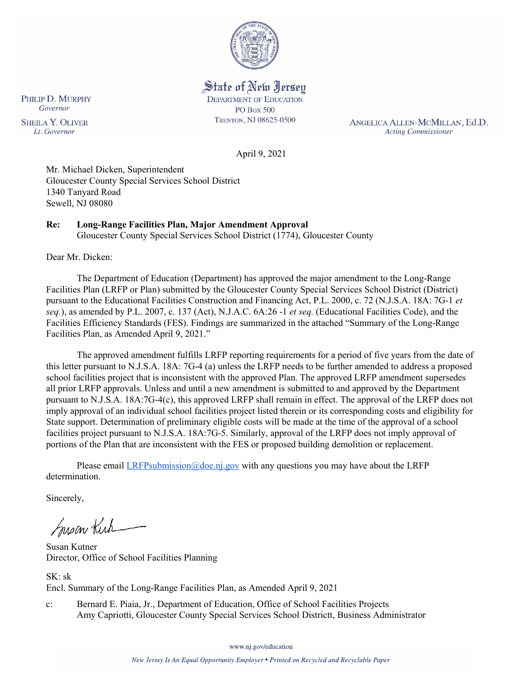

State of New Jersey **DEPARTMENT OF EDUCATION PO Box 500** TRENTON, NJ 08625-0500

ANGELICA ALLEN-MCMILLAN, Ed.D. **Acting Commissioner** 

April 9, 2021

Mr. Michael Dicken, Superintendent Gloucester County Special Services School District 1340 Tanyard Road Sewell, NJ 08080

# **Re: Long-Range Facilities Plan, Major Amendment Approval**

Gloucester County Special Services School District (1774), Gloucester County

Dear Mr. Dicken:

The Department of Education (Department) has approved the major amendment to the Long-Range Facilities Plan (LRFP or Plan) submitted by the Gloucester County Special Services School District (District) pursuant to the Educational Facilities Construction and Financing Act, P.L. 2000, c. 72 (N.J.S.A. 18A: 7G-1 *et seq.*), as amended by P.L. 2007, c. 137 (Act), N.J.A.C. 6A:26 -1 *et seq.* (Educational Facilities Code), and the Facilities Efficiency Standards (FES). Findings are summarized in the attached "Summary of the Long-Range Facilities Plan, as Amended April 9, 2021."

The approved amendment fulfills LRFP reporting requirements for a period of five years from the date of this letter pursuant to N.J.S.A. 18A: 7G-4 (a) unless the LRFP needs to be further amended to address a proposed school facilities project that is inconsistent with the approved Plan. The approved LRFP amendment supersedes all prior LRFP approvals. Unless and until a new amendment is submitted to and approved by the Department pursuant to N.J.S.A. 18A:7G-4(c), this approved LRFP shall remain in effect. The approval of the LRFP does not imply approval of an individual school facilities project listed therein or its corresponding costs and eligibility for State support. Determination of preliminary eligible costs will be made at the time of the approval of a school facilities project pursuant to N.J.S.A. 18A:7G-5. Similarly, approval of the LRFP does not imply approval of portions of the Plan that are inconsistent with the FES or proposed building demolition or replacement.

Please email  $LRFP submission@doe.nj.gov$  with any questions you may have about the LRFP determination.

Sincerely,

Susan Kich

Susan Kutner Director, Office of School Facilities Planning

SK: sk Encl. Summary of the Long-Range Facilities Plan, as Amended April 9, 2021

c: Bernard E. Piaia, Jr., Department of Education, Office of School Facilities Projects Amy Capriotti, Gloucester County Special Services School Districtt, Business Administrator

www.nj.gov/education

PHILIP D. MURPHY Governor **SHEILA Y. OLIVER** Lt. Governor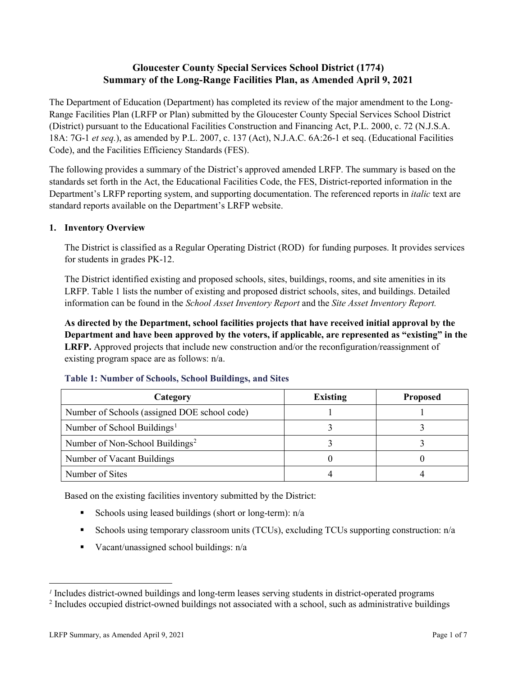# **Gloucester County Special Services School District (1774) Summary of the Long-Range Facilities Plan, as Amended April 9, 2021**

The Department of Education (Department) has completed its review of the major amendment to the Long-Range Facilities Plan (LRFP or Plan) submitted by the Gloucester County Special Services School District (District) pursuant to the Educational Facilities Construction and Financing Act, P.L. 2000, c. 72 (N.J.S.A. 18A: 7G-1 *et seq.*), as amended by P.L. 2007, c. 137 (Act), N.J.A.C. 6A:26-1 et seq. (Educational Facilities Code), and the Facilities Efficiency Standards (FES).

The following provides a summary of the District's approved amended LRFP. The summary is based on the standards set forth in the Act, the Educational Facilities Code, the FES, District-reported information in the Department's LRFP reporting system, and supporting documentation. The referenced reports in *italic* text are standard reports available on the Department's LRFP website.

#### **1. Inventory Overview**

The District is classified as a Regular Operating District (ROD) for funding purposes. It provides services for students in grades PK-12.

The District identified existing and proposed schools, sites, buildings, rooms, and site amenities in its LRFP. Table 1 lists the number of existing and proposed district schools, sites, and buildings. Detailed information can be found in the *School Asset Inventory Report* and the *Site Asset Inventory Report.*

**As directed by the Department, school facilities projects that have received initial approval by the Department and have been approved by the voters, if applicable, are represented as "existing" in the LRFP.** Approved projects that include new construction and/or the reconfiguration/reassignment of existing program space are as follows: n/a.

| Category                                     | <b>Existing</b> | <b>Proposed</b> |
|----------------------------------------------|-----------------|-----------------|
| Number of Schools (assigned DOE school code) |                 |                 |
| Number of School Buildings <sup>1</sup>      |                 |                 |
| Number of Non-School Buildings <sup>2</sup>  |                 |                 |
| Number of Vacant Buildings                   |                 |                 |
| Number of Sites                              |                 |                 |

#### **Table 1: Number of Schools, School Buildings, and Sites**

Based on the existing facilities inventory submitted by the District:

- Schools using leased buildings (short or long-term):  $n/a$
- Schools using temporary classroom units (TCUs), excluding TCUs supporting construction: n/a
- Vacant/unassigned school buildings:  $n/a$

 $\overline{a}$ 

<span id="page-1-1"></span><span id="page-1-0"></span>*<sup>1</sup>* Includes district-owned buildings and long-term leases serving students in district-operated programs

<sup>&</sup>lt;sup>2</sup> Includes occupied district-owned buildings not associated with a school, such as administrative buildings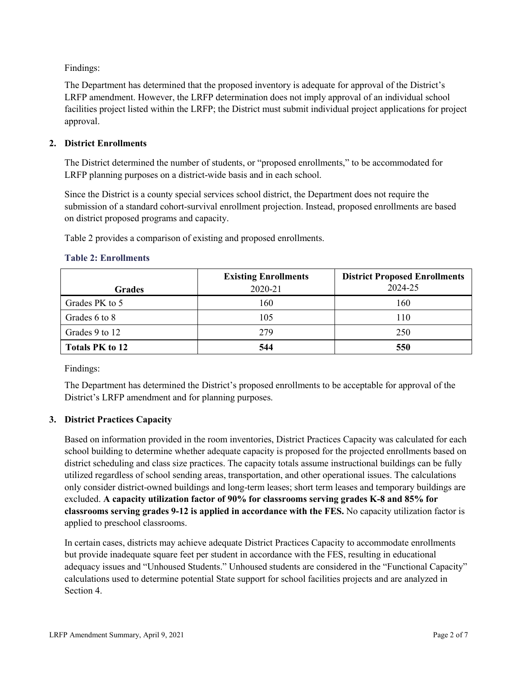Findings:

The Department has determined that the proposed inventory is adequate for approval of the District's LRFP amendment. However, the LRFP determination does not imply approval of an individual school facilities project listed within the LRFP; the District must submit individual project applications for project approval.

# **2. District Enrollments**

The District determined the number of students, or "proposed enrollments," to be accommodated for LRFP planning purposes on a district-wide basis and in each school.

Since the District is a county special services school district, the Department does not require the submission of a standard cohort-survival enrollment projection. Instead, proposed enrollments are based on district proposed programs and capacity.

Table 2 provides a comparison of existing and proposed enrollments.

# **Table 2: Enrollments**

|                 | <b>Existing Enrollments</b><br>2020-21 | <b>District Proposed Enrollments</b><br>2024-25 |
|-----------------|----------------------------------------|-------------------------------------------------|
| <b>Grades</b>   |                                        |                                                 |
| Grades PK to 5  | 160                                    | 160                                             |
| Grades 6 to 8   | 105                                    | 110                                             |
| Grades 9 to 12  | 279                                    | 250                                             |
| Totals PK to 12 | 544                                    | 550                                             |

Findings:

The Department has determined the District's proposed enrollments to be acceptable for approval of the District's LRFP amendment and for planning purposes.

## **3. District Practices Capacity**

Based on information provided in the room inventories, District Practices Capacity was calculated for each school building to determine whether adequate capacity is proposed for the projected enrollments based on district scheduling and class size practices. The capacity totals assume instructional buildings can be fully utilized regardless of school sending areas, transportation, and other operational issues. The calculations only consider district-owned buildings and long-term leases; short term leases and temporary buildings are excluded. **A capacity utilization factor of 90% for classrooms serving grades K-8 and 85% for classrooms serving grades 9-12 is applied in accordance with the FES.** No capacity utilization factor is applied to preschool classrooms.

In certain cases, districts may achieve adequate District Practices Capacity to accommodate enrollments but provide inadequate square feet per student in accordance with the FES, resulting in educational adequacy issues and "Unhoused Students." Unhoused students are considered in the "Functional Capacity" calculations used to determine potential State support for school facilities projects and are analyzed in Section 4.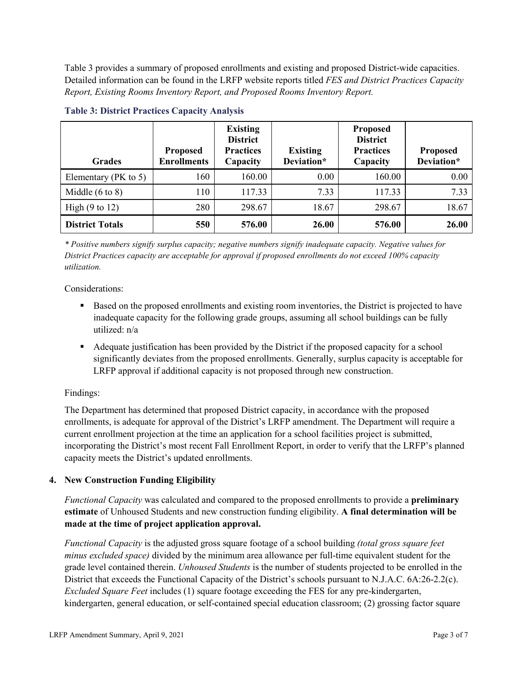Table 3 provides a summary of proposed enrollments and existing and proposed District-wide capacities. Detailed information can be found in the LRFP website reports titled *FES and District Practices Capacity Report, Existing Rooms Inventory Report, and Proposed Rooms Inventory Report.*

| <b>Grades</b>              | <b>Proposed</b><br><b>Enrollments</b> | <b>Existing</b><br><b>District</b><br><b>Practices</b><br>Capacity | <b>Existing</b><br>Deviation* | <b>Proposed</b><br><b>District</b><br><b>Practices</b><br>Capacity | <b>Proposed</b><br>Deviation* |
|----------------------------|---------------------------------------|--------------------------------------------------------------------|-------------------------------|--------------------------------------------------------------------|-------------------------------|
| Elementary ( $PK$ to 5)    | 160                                   | 160.00                                                             | 0.00                          | 160.00                                                             | 0.00                          |
| Middle $(6 \text{ to } 8)$ | 110                                   | 117.33                                                             | 7.33                          | 117.33                                                             | 7.33                          |
| High $(9 \text{ to } 12)$  | 280                                   | 298.67                                                             | 18.67                         | 298.67                                                             | 18.67                         |
| <b>District Totals</b>     | 550                                   | 576.00                                                             | 26.00                         | 576.00                                                             | 26.00                         |

#### **Table 3: District Practices Capacity Analysis**

*\* Positive numbers signify surplus capacity; negative numbers signify inadequate capacity. Negative values for District Practices capacity are acceptable for approval if proposed enrollments do not exceed 100% capacity utilization.*

Considerations:

- Based on the proposed enrollments and existing room inventories, the District is projected to have inadequate capacity for the following grade groups, assuming all school buildings can be fully utilized: n/a
- Adequate justification has been provided by the District if the proposed capacity for a school significantly deviates from the proposed enrollments. Generally, surplus capacity is acceptable for LRFP approval if additional capacity is not proposed through new construction.

## Findings:

The Department has determined that proposed District capacity, in accordance with the proposed enrollments, is adequate for approval of the District's LRFP amendment. The Department will require a current enrollment projection at the time an application for a school facilities project is submitted, incorporating the District's most recent Fall Enrollment Report, in order to verify that the LRFP's planned capacity meets the District's updated enrollments.

## **4. New Construction Funding Eligibility**

*Functional Capacity* was calculated and compared to the proposed enrollments to provide a **preliminary estimate** of Unhoused Students and new construction funding eligibility. **A final determination will be made at the time of project application approval.**

*Functional Capacity* is the adjusted gross square footage of a school building *(total gross square feet minus excluded space)* divided by the minimum area allowance per full-time equivalent student for the grade level contained therein. *Unhoused Students* is the number of students projected to be enrolled in the District that exceeds the Functional Capacity of the District's schools pursuant to N.J.A.C. 6A:26-2.2(c). *Excluded Square Feet* includes (1) square footage exceeding the FES for any pre-kindergarten, kindergarten, general education, or self-contained special education classroom; (2) grossing factor square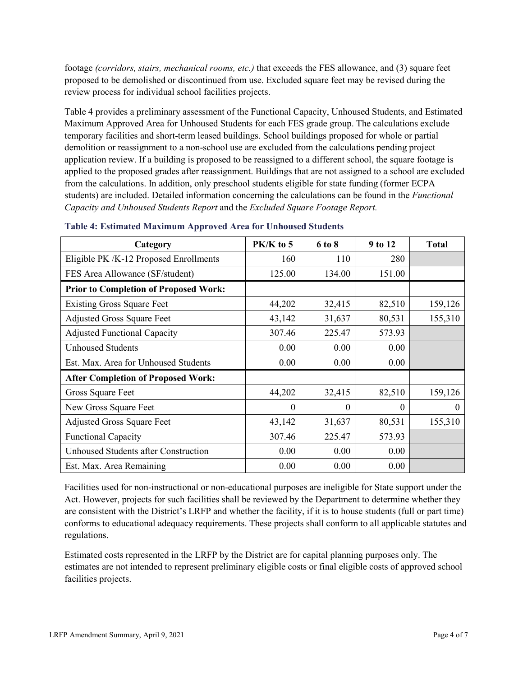footage *(corridors, stairs, mechanical rooms, etc.)* that exceeds the FES allowance, and (3) square feet proposed to be demolished or discontinued from use. Excluded square feet may be revised during the review process for individual school facilities projects.

Table 4 provides a preliminary assessment of the Functional Capacity, Unhoused Students, and Estimated Maximum Approved Area for Unhoused Students for each FES grade group. The calculations exclude temporary facilities and short-term leased buildings. School buildings proposed for whole or partial demolition or reassignment to a non-school use are excluded from the calculations pending project application review. If a building is proposed to be reassigned to a different school, the square footage is applied to the proposed grades after reassignment. Buildings that are not assigned to a school are excluded from the calculations. In addition, only preschool students eligible for state funding (former ECPA students) are included. Detailed information concerning the calculations can be found in the *Functional Capacity and Unhoused Students Report* and the *Excluded Square Footage Report.*

| Category                                     | $PK/K$ to 5 | 6 to 8   | 9 to 12  | <b>Total</b> |
|----------------------------------------------|-------------|----------|----------|--------------|
| Eligible PK /K-12 Proposed Enrollments       | 160         | 110      | 280      |              |
| FES Area Allowance (SF/student)              | 125.00      | 134.00   | 151.00   |              |
| <b>Prior to Completion of Proposed Work:</b> |             |          |          |              |
| <b>Existing Gross Square Feet</b>            | 44,202      | 32,415   | 82,510   | 159,126      |
| <b>Adjusted Gross Square Feet</b>            | 43,142      | 31,637   | 80,531   | 155,310      |
| <b>Adjusted Functional Capacity</b>          | 307.46      | 225.47   | 573.93   |              |
| <b>Unhoused Students</b>                     | 0.00        | 0.00     | 0.00     |              |
| Est. Max. Area for Unhoused Students         | 0.00        | 0.00     | 0.00     |              |
| <b>After Completion of Proposed Work:</b>    |             |          |          |              |
| Gross Square Feet                            | 44,202      | 32,415   | 82,510   | 159,126      |
| New Gross Square Feet                        | $\theta$    | $\theta$ | $\theta$ | $\theta$     |
| <b>Adjusted Gross Square Feet</b>            | 43,142      | 31,637   | 80,531   | 155,310      |
| <b>Functional Capacity</b>                   | 307.46      | 225.47   | 573.93   |              |
| Unhoused Students after Construction         | 0.00        | 0.00     | 0.00     |              |
| Est. Max. Area Remaining                     | 0.00        | 0.00     | 0.00     |              |

| <b>Table 4: Estimated Maximum Approved Area for Unhoused Students</b> |  |  |
|-----------------------------------------------------------------------|--|--|
|-----------------------------------------------------------------------|--|--|

Facilities used for non-instructional or non-educational purposes are ineligible for State support under the Act. However, projects for such facilities shall be reviewed by the Department to determine whether they are consistent with the District's LRFP and whether the facility, if it is to house students (full or part time) conforms to educational adequacy requirements. These projects shall conform to all applicable statutes and regulations.

Estimated costs represented in the LRFP by the District are for capital planning purposes only. The estimates are not intended to represent preliminary eligible costs or final eligible costs of approved school facilities projects.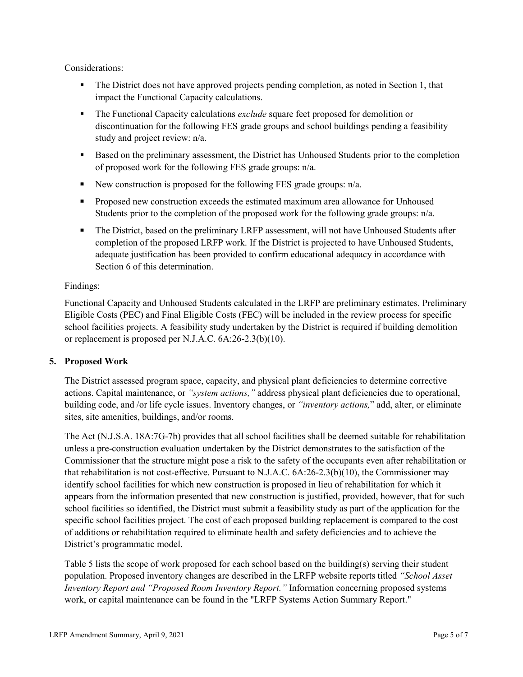Considerations:

- The District does not have approved projects pending completion, as noted in Section 1, that impact the Functional Capacity calculations.
- The Functional Capacity calculations *exclude* square feet proposed for demolition or discontinuation for the following FES grade groups and school buildings pending a feasibility study and project review: n/a.
- **Based on the preliminary assessment, the District has Unhoused Students prior to the completion** of proposed work for the following FES grade groups: n/a.
- New construction is proposed for the following FES grade groups:  $n/a$ .
- **Proposed new construction exceeds the estimated maximum area allowance for Unhoused** Students prior to the completion of the proposed work for the following grade groups: n/a.
- The District, based on the preliminary LRFP assessment, will not have Unhoused Students after completion of the proposed LRFP work. If the District is projected to have Unhoused Students, adequate justification has been provided to confirm educational adequacy in accordance with Section 6 of this determination.

## Findings:

Functional Capacity and Unhoused Students calculated in the LRFP are preliminary estimates. Preliminary Eligible Costs (PEC) and Final Eligible Costs (FEC) will be included in the review process for specific school facilities projects. A feasibility study undertaken by the District is required if building demolition or replacement is proposed per N.J.A.C. 6A:26-2.3(b)(10).

## **5. Proposed Work**

The District assessed program space, capacity, and physical plant deficiencies to determine corrective actions. Capital maintenance, or *"system actions,"* address physical plant deficiencies due to operational, building code, and /or life cycle issues. Inventory changes, or *"inventory actions,*" add, alter, or eliminate sites, site amenities, buildings, and/or rooms.

The Act (N.J.S.A. 18A:7G-7b) provides that all school facilities shall be deemed suitable for rehabilitation unless a pre-construction evaluation undertaken by the District demonstrates to the satisfaction of the Commissioner that the structure might pose a risk to the safety of the occupants even after rehabilitation or that rehabilitation is not cost-effective. Pursuant to N.J.A.C. 6A:26-2.3(b)(10), the Commissioner may identify school facilities for which new construction is proposed in lieu of rehabilitation for which it appears from the information presented that new construction is justified, provided, however, that for such school facilities so identified, the District must submit a feasibility study as part of the application for the specific school facilities project. The cost of each proposed building replacement is compared to the cost of additions or rehabilitation required to eliminate health and safety deficiencies and to achieve the District's programmatic model.

Table 5 lists the scope of work proposed for each school based on the building(s) serving their student population. Proposed inventory changes are described in the LRFP website reports titled *"School Asset Inventory Report and "Proposed Room Inventory Report."* Information concerning proposed systems work, or capital maintenance can be found in the "LRFP Systems Action Summary Report."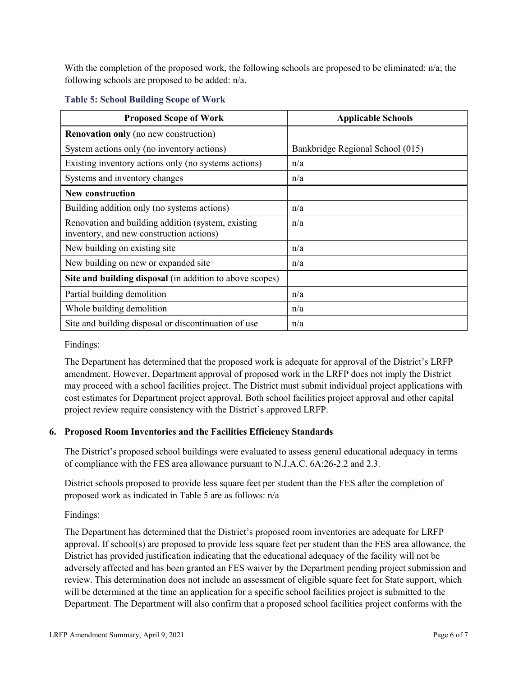With the completion of the proposed work, the following schools are proposed to be eliminated: n/a; the following schools are proposed to be added: n/a.

| <b>Proposed Scope of Work</b>                                                                  | <b>Applicable Schools</b>        |
|------------------------------------------------------------------------------------------------|----------------------------------|
| <b>Renovation only</b> (no new construction)                                                   |                                  |
| System actions only (no inventory actions)                                                     | Bankbridge Regional School (015) |
| Existing inventory actions only (no systems actions)                                           | n/a                              |
| Systems and inventory changes                                                                  | n/a                              |
| <b>New construction</b>                                                                        |                                  |
| Building addition only (no systems actions)                                                    | n/a                              |
| Renovation and building addition (system, existing<br>inventory, and new construction actions) | n/a                              |
| New building on existing site                                                                  | n/a                              |
| New building on new or expanded site                                                           | n/a                              |
| Site and building disposal (in addition to above scopes)                                       |                                  |
| Partial building demolition                                                                    | n/a                              |
| Whole building demolition                                                                      | n/a                              |
| Site and building disposal or discontinuation of use                                           | n/a                              |

#### **Table 5: School Building Scope of Work**

## Findings:

The Department has determined that the proposed work is adequate for approval of the District's LRFP amendment. However, Department approval of proposed work in the LRFP does not imply the District may proceed with a school facilities project. The District must submit individual project applications with cost estimates for Department project approval. Both school facilities project approval and other capital project review require consistency with the District's approved LRFP.

## **6. Proposed Room Inventories and the Facilities Efficiency Standards**

The District's proposed school buildings were evaluated to assess general educational adequacy in terms of compliance with the FES area allowance pursuant to N.J.A.C. 6A:26-2.2 and 2.3.

District schools proposed to provide less square feet per student than the FES after the completion of proposed work as indicated in Table 5 are as follows: n/a

Findings:

The Department has determined that the District's proposed room inventories are adequate for LRFP approval. If school(s) are proposed to provide less square feet per student than the FES area allowance, the District has provided justification indicating that the educational adequacy of the facility will not be adversely affected and has been granted an FES waiver by the Department pending project submission and review. This determination does not include an assessment of eligible square feet for State support, which will be determined at the time an application for a specific school facilities project is submitted to the Department. The Department will also confirm that a proposed school facilities project conforms with the